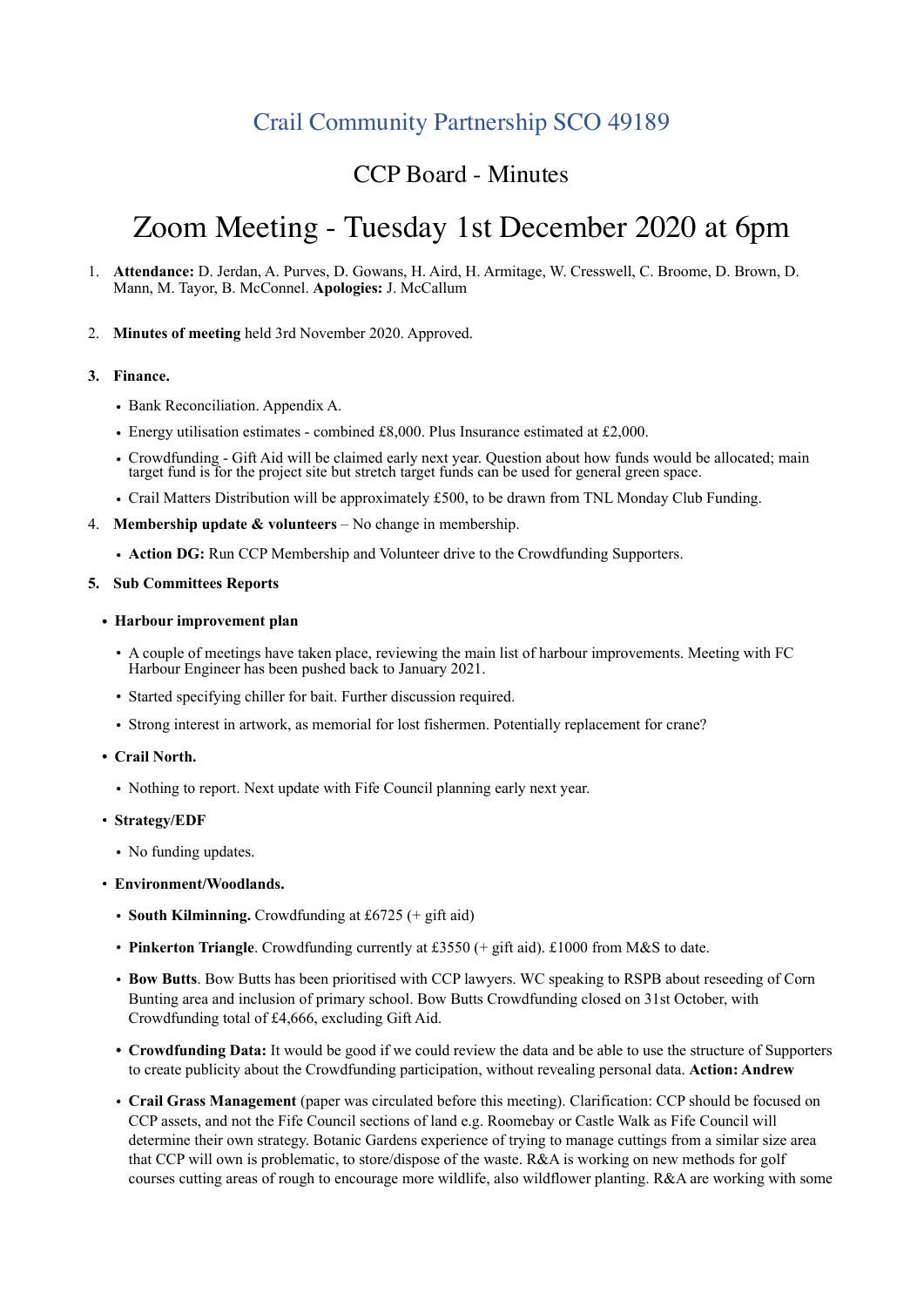# Crail Community Partnership SCO 49189

## CCP Board - Minutes

# Zoom Meeting - Tuesday 1st December 2020 at 6pm

- 1. **Attendance:** D. Jerdan, A. Purves, D. Gowans, H. Aird, H. Armitage, W. Cresswell, C. Broome, D. Brown, D. Mann, M. Tayor, B. McConnel. **Apologies:** J. McCallum
- 2. **Minutes of meeting** held 3rd November 2020. Approved.

## **3. Finance.**

- Bank Reconciliation. Appendix A.
- Energy utilisation estimates combined £8,000. Plus Insurance estimated at £2,000.
- Crowdfunding Gift Aid will be claimed early next year. Question about how funds would be allocated; main target fund is for the project site but stretch target funds can be used for general green space.
- Crail Matters Distribution will be approximately £500, to be drawn from TNL Monday Club Funding.
- 4. **Membership update & volunteers**  No change in membership.
	- **Action DG:** Run CCP Membership and Volunteer drive to the Crowdfunding Supporters.

#### **5. Sub Committees Reports**

- **• Harbour improvement plan** 
	- A couple of meetings have taken place, reviewing the main list of harbour improvements. Meeting with FC Harbour Engineer has been pushed back to January 2021.
	- Started specifying chiller for bait. Further discussion required.
	- Strong interest in artwork, as memorial for lost fishermen. Potentially replacement for crane?
- **• Crail North.** 
	- Nothing to report. Next update with Fife Council planning early next year.
- **Strategy/EDF** 
	- No funding updates.
- **Environment/Woodlands.**
	- **South Kilminning.** Crowdfunding at £6725 (+ gift aid)
	- **Pinkerton Triangle**. Crowdfunding currently at £3550 (+ gift aid). £1000 from M&S to date.
	- **Bow Butts**. Bow Butts has been prioritised with CCP lawyers. WC speaking to RSPB about reseeding of Corn Bunting area and inclusion of primary school. Bow Butts Crowdfunding closed on 31st October, with Crowdfunding total of £4,666, excluding Gift Aid.
	- **• Crowdfunding Data:** It would be good if we could review the data and be able to use the structure of Supporters to create publicity about the Crowdfunding participation, without revealing personal data. **Action: Andrew**
	- **Crail Grass Management** (paper was circulated before this meeting). Clarification: CCP should be focused on CCP assets, and not the Fife Council sections of land e.g. Roomebay or Castle Walk as Fife Council will determine their own strategy. Botanic Gardens experience of trying to manage cuttings from a similar size area that CCP will own is problematic, to store/dispose of the waste. R&A is working on new methods for golf courses cutting areas of rough to encourage more wildlife, also wildflower planting. R&A are working with some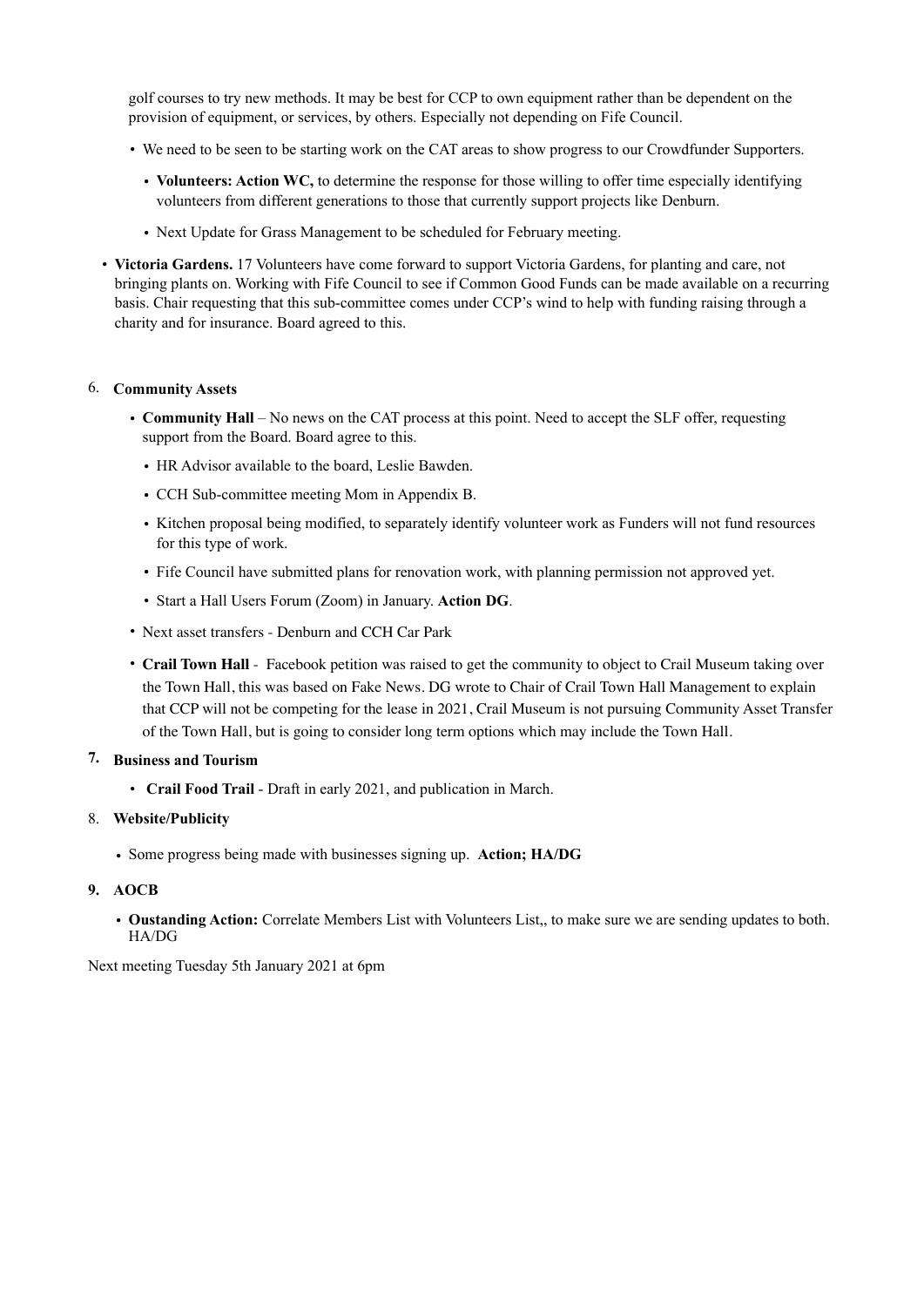golf courses to try new methods. It may be best for CCP to own equipment rather than be dependent on the provision of equipment, or services, by others. Especially not depending on Fife Council.

- We need to be seen to be starting work on the CAT areas to show progress to our Crowdfunder Supporters.
	- **Volunteers: Action WC,** to determine the response for those willing to offer time especially identifying volunteers from different generations to those that currently support projects like Denburn.
	- Next Update for Grass Management to be scheduled for February meeting.
- **Victoria Gardens.** 17 Volunteers have come forward to support Victoria Gardens, for planting and care, not bringing plants on. Working with Fife Council to see if Common Good Funds can be made available on a recurring basis. Chair requesting that this sub-committee comes under CCP's wind to help with funding raising through a charity and for insurance. Board agreed to this.

## 6. **Community Assets**

- **Community Hall** No news on the CAT process at this point. Need to accept the SLF offer, requesting support from the Board. Board agree to this.
	- HR Advisor available to the board, Leslie Bawden.
	- CCH Sub-committee meeting Mom in Appendix B.
	- Kitchen proposal being modified, to separately identify volunteer work as Funders will not fund resources for this type of work.
	- Fife Council have submitted plans for renovation work, with planning permission not approved yet.
	- Start a Hall Users Forum (Zoom) in January. **Action DG**.
- Next asset transfers Denburn and CCH Car Park
- **Crail Town Hall** Facebook petition was raised to get the community to object to Crail Museum taking over the Town Hall, this was based on Fake News. DG wrote to Chair of Crail Town Hall Management to explain that CCP will not be competing for the lease in 2021, Crail Museum is not pursuing Community Asset Transfer of the Town Hall, but is going to consider long term options which may include the Town Hall.

## **7. Business and Tourism**

• **Crail Food Trail** - Draft in early 2021, and publication in March.

## 8. **Website/Publicity**

• Some progress being made with businesses signing up. **Action; HA/DG** 

## **9. AOCB**

• **Oustanding Action:** Correlate Members List with Volunteers List,, to make sure we are sending updates to both. HA/DG

Next meeting Tuesday 5th January 2021 at 6pm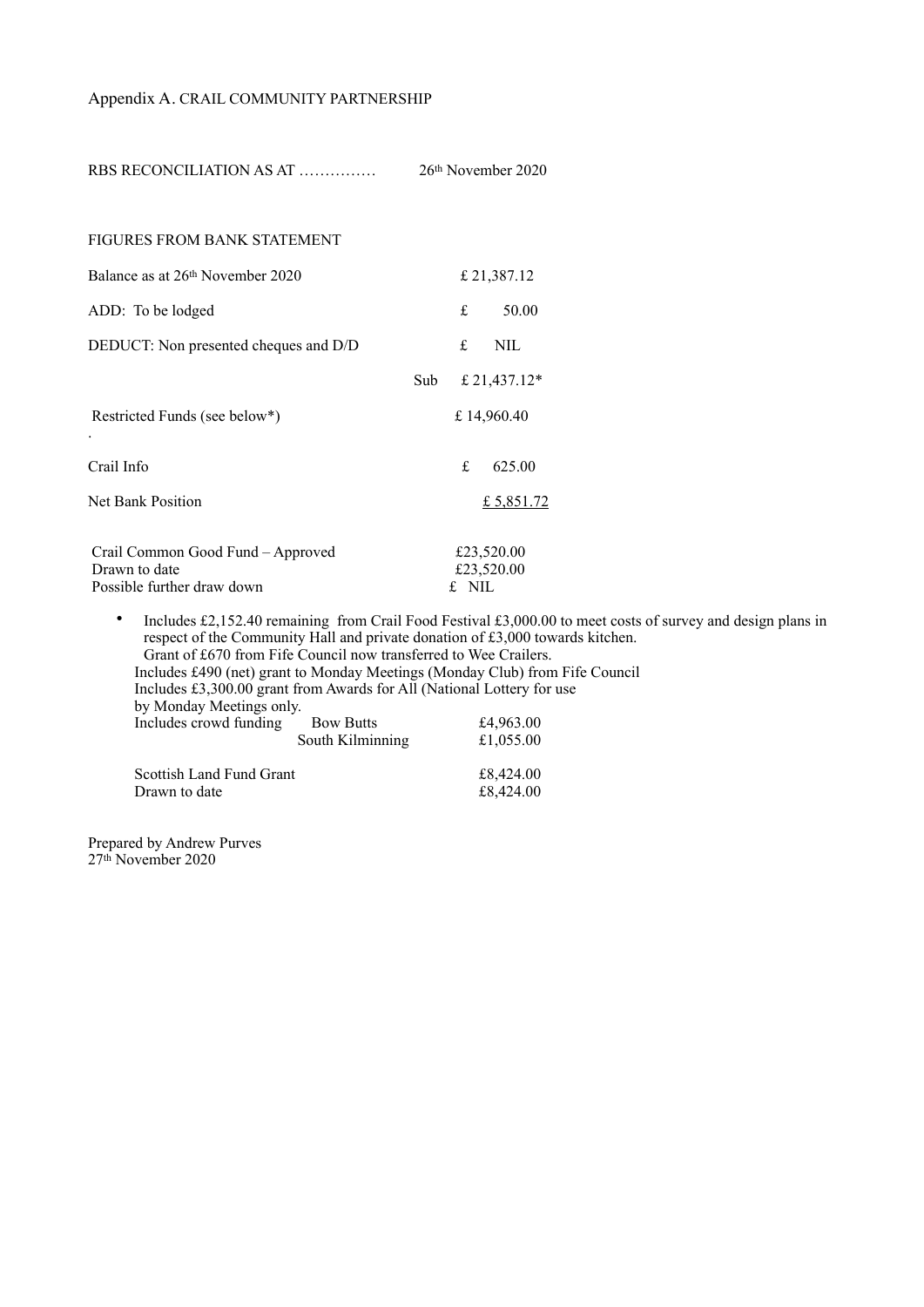## Appendix A. CRAIL COMMUNITY PARTNERSHIP

RBS RECONCILIATION AS AT …………… 26th November 2020

| FIGURES FROM BANK STATEMENT                                                      |             |        |                          |
|----------------------------------------------------------------------------------|-------------|--------|--------------------------|
| Balance as at 26 <sup>th</sup> November 2020                                     | £ 21,387.12 |        |                          |
| ADD: To be lodged                                                                |             | £      | 50.00                    |
| DEDUCT: Non presented cheques and D/D                                            |             | £      | NIL.                     |
|                                                                                  | Sub         |        | £ 21,437.12 $*$          |
| Restricted Funds (see below*)                                                    | £14,960.40  |        |                          |
| Crail Info                                                                       |             | £.     | 625.00                   |
| Net Bank Position                                                                |             |        | £ 5,851.72               |
| Crail Common Good Fund – Approved<br>Drawn to date<br>Possible further draw down |             | f. NIL | £23,520.00<br>£23,520.00 |

• Includes £2,152.40 remaining from Crail Food Festival £3,000.00 to meet costs of survey and design plans in respect of the Community Hall and private donation of £3,000 towards kitchen. Grant of £670 from Fife Council now transferred to Wee Crailers. Includes £490 (net) grant to Monday Meetings (Monday Club) from Fife Council Includes £3,300.00 grant from Awards for All (National Lottery for use by Monday Meetings only. Includes crowd funding Bow Butts  $£4,963.00$ <br>South Kilminning  $£1,055.00$ South Kilminning Scottish Land Fund Grant  $\begin{array}{r} \text{\textsterling}8,424.00 \\ \text{\textsterling}8,424.00 \end{array}$ Drawn to date

Prepared by Andrew Purves 27th November 2020